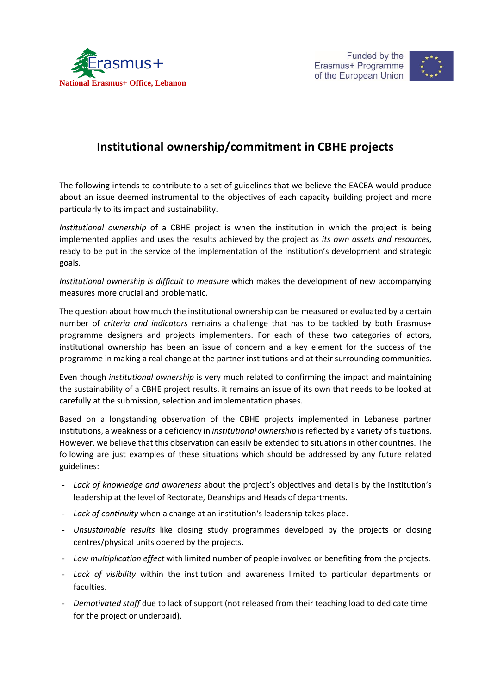



## **Institutional ownership/commitment in CBHE projects**

The following intends to contribute to a set of guidelines that we believe the EACEA would produce about an issue deemed instrumental to the objectives of each capacity building project and more particularly to its impact and sustainability.

*Institutional ownership* of a CBHE project is when the institution in which the project is being implemented applies and uses the results achieved by the project as *its own assets and resources*, ready to be put in the service of the implementation of the institution's development and strategic goals.

*Institutional ownership is difficult to measure* which makes the development of new accompanying measures more crucial and problematic.

The question about how much the institutional ownership can be measured or evaluated by a certain number of *criteria and indicators* remains a challenge that has to be tackled by both Erasmus+ programme designers and projects implementers. For each of these two categories of actors, institutional ownership has been an issue of concern and a key element for the success of the programme in making a real change at the partner institutions and at their surrounding communities.

Even though *institutional ownership* is very much related to confirming the impact and maintaining the sustainability of a CBHE project results, it remains an issue of its own that needs to be looked at carefully at the submission, selection and implementation phases.

Based on a longstanding observation of the CBHE projects implemented in Lebanese partner institutions, a weakness or a deficiency in *institutional ownership* is reflected by a variety of situations. However, we believe that this observation can easily be extended to situations in other countries. The following are just examples of these situations which should be addressed by any future related guidelines:

- *Lack of knowledge and awareness* about the project's objectives and details by the institution's leadership at the level of Rectorate, Deanships and Heads of departments.
- *Lack of continuity* when a change at an institution's leadership takes place.
- *Unsustainable results* like closing study programmes developed by the projects or closing centres/physical units opened by the projects.
- *Low multiplication effect* with limited number of people involved or benefiting from the projects.
- *Lack of visibility* within the institution and awareness limited to particular departments or faculties.
- *Demotivated staff* due to lack of support (not released from their teaching load to dedicate time for the project or underpaid).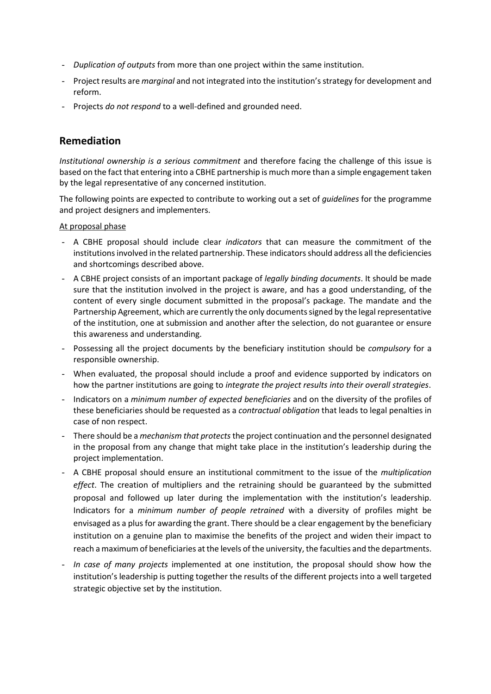- *Duplication of outputs* from more than one project within the same institution.
- Project results are *marginal* and not integrated into the institution's strategy for development and reform.
- Projects *do not respond* to a well-defined and grounded need.

## **Remediation**

*Institutional ownership is a serious commitment* and therefore facing the challenge of this issue is based on the fact that entering into a CBHE partnership is much more than a simple engagement taken by the legal representative of any concerned institution.

The following points are expected to contribute to working out a set of *guidelines* for the programme and project designers and implementers.

## At proposal phase

- A CBHE proposal should include clear *indicators* that can measure the commitment of the institutions involved in the related partnership. These indicators should address all the deficiencies and shortcomings described above.
- A CBHE project consists of an important package of *legally binding documents*. It should be made sure that the institution involved in the project is aware, and has a good understanding, of the content of every single document submitted in the proposal's package. The mandate and the Partnership Agreement, which are currently the only documents signed by the legal representative of the institution, one at submission and another after the selection, do not guarantee or ensure this awareness and understanding.
- Possessing all the project documents by the beneficiary institution should be *compulsory* for a responsible ownership.
- When evaluated, the proposal should include a proof and evidence supported by indicators on how the partner institutions are going to *integrate the project results into their overall strategies*.
- Indicators on a *minimum number of expected beneficiaries* and on the diversity of the profiles of these beneficiaries should be requested as a *contractual obligation* that leads to legal penalties in case of non respect.
- There should be a *mechanism that protects*the project continuation and the personnel designated in the proposal from any change that might take place in the institution's leadership during the project implementation.
- A CBHE proposal should ensure an institutional commitment to the issue of the *multiplication effect*. The creation of multipliers and the retraining should be guaranteed by the submitted proposal and followed up later during the implementation with the institution's leadership. Indicators for a *minimum number of people retrained* with a diversity of profiles might be envisaged as a plus for awarding the grant. There should be a clear engagement by the beneficiary institution on a genuine plan to maximise the benefits of the project and widen their impact to reach a maximum of beneficiaries at the levels of the university, the faculties and the departments.
- In case of many projects implemented at one institution, the proposal should show how the institution's leadership is putting together the results of the different projects into a well targeted strategic objective set by the institution.